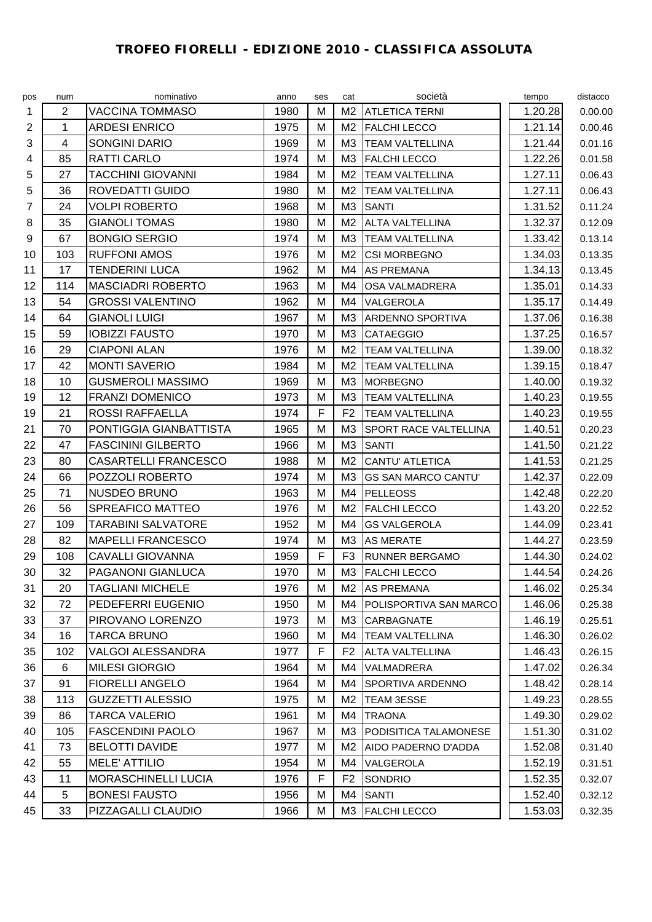## **TROFEO FIORELLI - EDIZIONE 2010 - CLASSIFICA ASSOLUTA**

| pos | num            | nominativo                  | anno | ses | cat            | società                      | tempo   | distacco |
|-----|----------------|-----------------------------|------|-----|----------------|------------------------------|---------|----------|
| 1   | $\overline{2}$ | <b>VACCINA TOMMASO</b>      | 1980 | M   | M <sub>2</sub> | <b>ATLETICA TERNI</b>        | 1.20.28 | 0.00.00  |
| 2   | 1              | <b>ARDESI ENRICO</b>        | 1975 | M   | M2             | <b>FALCHI LECCO</b>          | 1.21.14 | 0.00.46  |
| 3   | 4              | <b>SONGINI DARIO</b>        | 1969 | M   | MЗ             | <b>TEAM VALTELLINA</b>       | 1.21.44 | 0.01.16  |
| 4   | 85             | <b>RATTI CARLO</b>          | 1974 | M   | M <sub>3</sub> | <b>FALCHI LECCO</b>          | 1.22.26 | 0.01.58  |
| 5   | 27             | <b>TACCHINI GIOVANNI</b>    | 1984 | M   | M <sub>2</sub> | <b>TEAM VALTELLINA</b>       | 1.27.11 | 0.06.43  |
| 5   | 36             | ROVEDATTI GUIDO             | 1980 | M   | M <sub>2</sub> | <b>TEAM VALTELLINA</b>       | 1.27.11 | 0.06.43  |
| 7   | 24             | <b>VOLPI ROBERTO</b>        | 1968 | М   | M <sub>3</sub> | <b>SANTI</b>                 | 1.31.52 | 0.11.24  |
| 8   | 35             | <b>GIANOLI TOMAS</b>        | 1980 | M   | M <sub>2</sub> | <b>ALTA VALTELLINA</b>       | 1.32.37 | 0.12.09  |
| 9   | 67             | <b>BONGIO SERGIO</b>        | 1974 | M   | M <sub>3</sub> | <b>TEAM VALTELLINA</b>       | 1.33.42 | 0.13.14  |
| 10  | 103            | <b>RUFFONI AMOS</b>         | 1976 | M   | M <sub>2</sub> | <b>CSI MORBEGNO</b>          | 1.34.03 | 0.13.35  |
| 11  | 17             | <b>TENDERINI LUCA</b>       | 1962 | M   | M4             | <b>AS PREMANA</b>            | 1.34.13 | 0.13.45  |
| 12  | 114            | <b>MASCIADRI ROBERTO</b>    | 1963 | M   | M4             | OSA VALMADRERA               | 1.35.01 | 0.14.33  |
| 13  | 54             | <b>GROSSI VALENTINO</b>     | 1962 | M   | M4             | VALGEROLA                    | 1.35.17 | 0.14.49  |
| 14  | 64             | <b>GIANOLI LUIGI</b>        | 1967 | M   | M <sub>3</sub> | <b>ARDENNO SPORTIVA</b>      | 1.37.06 | 0.16.38  |
| 15  | 59             | <b>IOBIZZI FAUSTO</b>       | 1970 | M   | M <sub>3</sub> | <b>CATAEGGIO</b>             | 1.37.25 | 0.16.57  |
| 16  | 29             | <b>CIAPONI ALAN</b>         | 1976 | M   | M <sub>2</sub> | <b>TEAM VALTELLINA</b>       | 1.39.00 | 0.18.32  |
| 17  | 42             | <b>MONTI SAVERIO</b>        | 1984 | M   | M <sub>2</sub> | TEAM VALTELLINA              | 1.39.15 | 0.18.47  |
| 18  | 10             | <b>GUSMEROLI MASSIMO</b>    | 1969 | M   | M <sub>3</sub> | <b>MORBEGNO</b>              | 1.40.00 | 0.19.32  |
| 19  | 12             | <b>FRANZI DOMENICO</b>      | 1973 | М   | M <sub>3</sub> | <b>TEAM VALTELLINA</b>       | 1.40.23 | 0.19.55  |
| 19  | 21             | <b>ROSSI RAFFAELLA</b>      | 1974 | F   | F <sub>2</sub> | <b>TEAM VALTELLINA</b>       | 1.40.23 | 0.19.55  |
| 21  | 70             | PONTIGGIA GIANBATTISTA      | 1965 | M   | M3             | <b>SPORT RACE VALTELLINA</b> | 1.40.51 | 0.20.23  |
| 22  | 47             | <b>FASCININI GILBERTO</b>   | 1966 | M   | M <sub>3</sub> | <b>SANTI</b>                 | 1.41.50 | 0.21.22  |
| 23  | 80             | <b>CASARTELLI FRANCESCO</b> | 1988 | M   | M <sub>2</sub> | <b>CANTU' ATLETICA</b>       | 1.41.53 | 0.21.25  |
| 24  | 66             | POZZOLI ROBERTO             | 1974 | M   | M <sub>3</sub> | <b>GS SAN MARCO CANTU'</b>   | 1.42.37 | 0.22.09  |
| 25  | 71             | NUSDEO BRUNO                | 1963 | M   | M4             | <b>PELLEOSS</b>              | 1.42.48 | 0.22.20  |
| 26  | 56             | SPREAFICO MATTEO            | 1976 | М   | M <sub>2</sub> | <b>FALCHI LECCO</b>          | 1.43.20 | 0.22.52  |
| 27  | 109            | <b>TARABINI SALVATORE</b>   | 1952 | M   | M4             | <b>GS VALGEROLA</b>          | 1.44.09 | 0.23.41  |
| 28  | 82             | <b>MAPELLI FRANCESCO</b>    | 1974 | M   | M <sub>3</sub> | <b>AS MERATE</b>             | 1.44.27 | 0.23.59  |
| 29  | 108            | <b>CAVALLI GIOVANNA</b>     | 1959 | F   | F <sub>3</sub> | <b>RUNNER BERGAMO</b>        | 1.44.30 | 0.24.02  |
| 30  | 32             | PAGANONI GIANLUCA           | 1970 | M   | M3             | <b>FALCHI LECCO</b>          | 1.44.54 | 0.24.26  |
| 31  | 20             | <b>TAGLIANI MICHELE</b>     | 1976 | М   | M2             | <b>AS PREMANA</b>            | 1.46.02 | 0.25.34  |
| 32  | 72             | PEDEFERRI EUGENIO           | 1950 | M   | M4             | POLISPORTIVA SAN MARCO       | 1.46.06 | 0.25.38  |
| 33  | 37             | PIROVANO LORENZO            | 1973 | M   | ΜЗ             | CARBAGNATE                   | 1.46.19 | 0.25.51  |
| 34  | 16             | <b>TARCA BRUNO</b>          | 1960 | М   | M4             | <b>TEAM VALTELLINA</b>       | 1.46.30 | 0.26.02  |
| 35  | 102            | <b>VALGOI ALESSANDRA</b>    | 1977 | F   | F <sub>2</sub> | <b>ALTA VALTELLINA</b>       | 1.46.43 | 0.26.15  |
| 36  | 6              | <b>MILESI GIORGIO</b>       | 1964 | M   | M4             | VALMADRERA                   | 1.47.02 | 0.26.34  |
| 37  | 91             | <b>FIORELLI ANGELO</b>      | 1964 | M   | M4             | <b>SPORTIVA ARDENNO</b>      | 1.48.42 | 0.28.14  |
| 38  | 113            | <b>GUZZETTI ALESSIO</b>     | 1975 | M   | M2             | TEAM 3ESSE                   | 1.49.23 | 0.28.55  |
| 39  | 86             | <b>TARCA VALERIO</b>        | 1961 | M   | M4             | <b>TRAONA</b>                | 1.49.30 | 0.29.02  |
| 40  | 105            | <b>FASCENDINI PAOLO</b>     | 1967 | M   | ΜЗ             | PODISITICA TALAMONESE        | 1.51.30 | 0.31.02  |
| 41  | 73             | <b>BELOTTI DAVIDE</b>       | 1977 | M   | M2             | AIDO PADERNO D'ADDA          | 1.52.08 | 0.31.40  |
| 42  | 55             | <b>MELE' ATTILIO</b>        | 1954 | M   | M4             | VALGEROLA                    | 1.52.19 | 0.31.51  |
| 43  | 11             | MORASCHINELLI LUCIA         | 1976 | F   | F <sub>2</sub> | SONDRIO                      | 1.52.35 | 0.32.07  |
| 44  | 5              | <b>BONESI FAUSTO</b>        | 1956 | M   | M4             | <b>SANTI</b>                 | 1.52.40 | 0.32.12  |
| 45  | 33             | PIZZAGALLI CLAUDIO          | 1966 | M   |                | M3 FALCHI LECCO              | 1.53.03 | 0.32.35  |
|     |                |                             |      |     |                |                              |         |          |